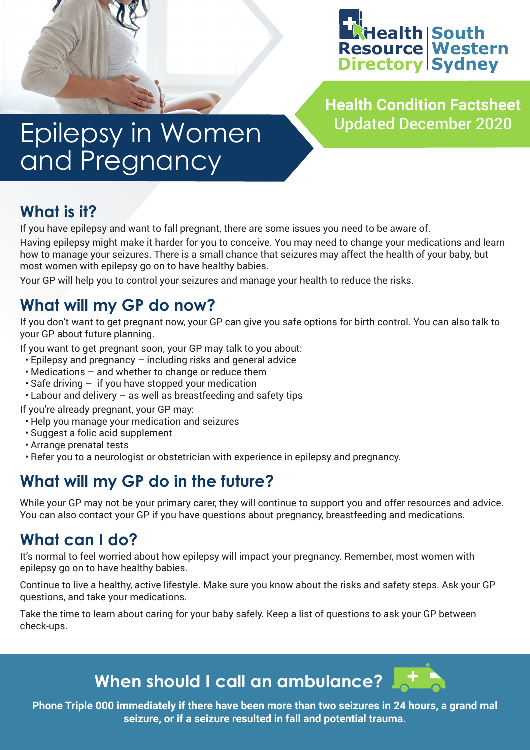

**Health Condition Factsheet**

# Epilepsy in Women and Pregnancy

# **What is it?**

If you have epilepsy and want to fall pregnant, there are some issues you need to be aware of.

Having epilepsy might make it harder for you to conceive. You may need to change your medications and learn how to manage your seizures. There is a small chance that seizures may affect the health of your baby, but most women with epilepsy go on to have healthy babies.

Your GP will help you to control your seizures and manage your health to reduce the risks.

# **What will my GP do now?**

If you don't want to get pregnant now, your GP can give you safe options for birth control. You can also talk to your GP about future planning.

If you want to get pregnant soon, your GP may talk to you about:

- Epilepsy and pregnancy including risks and general advice
- Medications and whether to change or reduce them
- Safe driving if you have stopped your medication
- Labour and delivery as well as breastfeeding and safety tips

If you're already pregnant, your GP may:

- Help you manage your medication and seizures
- Suggest a folic acid supplement
- Arrange prenatal tests
- Refer you to a neurologist or obstetrician with experience in epilepsy and pregnancy.

# **What will my GP do in the future?**

While your GP may not be your primary carer, they will continue to support you and offer resources and advice. You can also contact your GP if you have questions about pregnancy, breastfeeding and medications.

### **What can I do?**

It's normal to feel worried about how epilepsy will impact your pregnancy. Remember, most women with epilepsy go on to have healthy babies.

Continue to live a healthy, active lifestyle. Make sure you know about the risks and safety steps. Ask your GP questions, and take your medications.

Take the time to learn about caring for your baby safely. Keep a list of questions to ask your GP between check-ups.

**When should I call an ambulance?** 

**Phone Triple 000 immediately if there have been more than two seizures in 24 hours, a grand mal seizure, or if a seizure resulted in fall and potential trauma.**